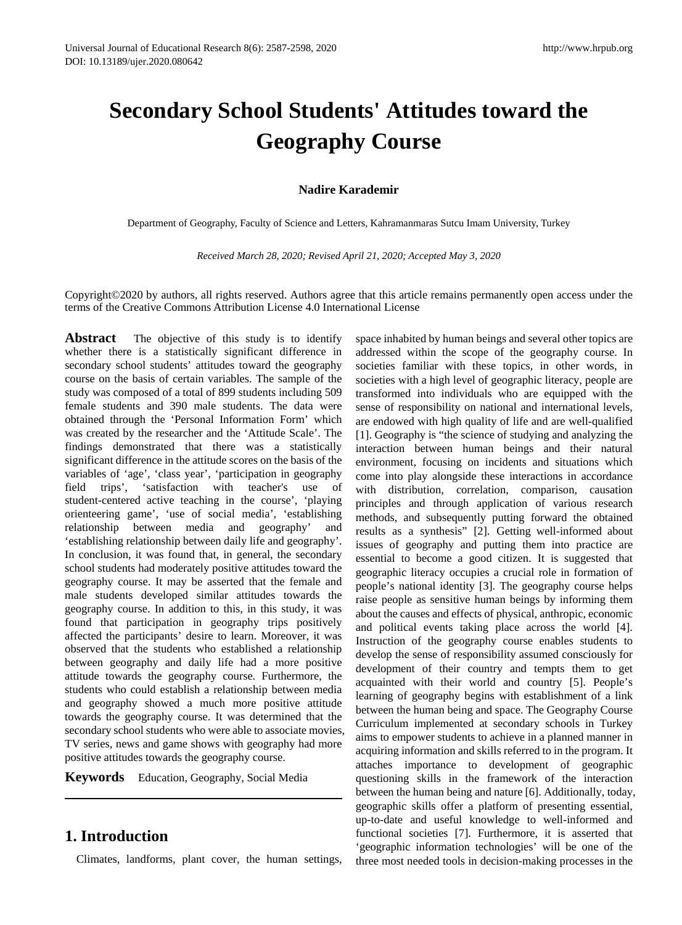# **Secondary School Students' Attitudes toward the Geography Course**

## **Nadire Karademir**

Department of Geography, Faculty of Science and Letters, Kahramanmaras Sutcu Imam University, Turkey

*Received March 28, 2020; Revised April 21, 2020; Accepted May 3, 2020*

Copyright©2020 by authors, all rights reserved. Authors agree that this article remains permanently open access under the terms of the Creative Commons Attribution License 4.0 International License

Abstract The objective of this study is to identify whether there is a statistically significant difference in secondary school students' attitudes toward the geography course on the basis of certain variables. The sample of the study was composed of a total of 899 students including 509 female students and 390 male students. The data were obtained through the 'Personal Information Form' which was created by the researcher and the 'Attitude Scale'. The findings demonstrated that there was a statistically significant difference in the attitude scores on the basis of the variables of 'age', 'class year', 'participation in geography field trips', 'satisfaction with teacher's use of student-centered active teaching in the course', 'playing orienteering game', 'use of social media', 'establishing relationship between media and geography' and 'establishing relationship between daily life and geography'. In conclusion, it was found that, in general, the secondary school students had moderately positive attitudes toward the geography course. It may be asserted that the female and male students developed similar attitudes towards the geography course. In addition to this, in this study, it was found that participation in geography trips positively affected the participants' desire to learn. Moreover, it was observed that the students who established a relationship between geography and daily life had a more positive attitude towards the geography course. Furthermore, the students who could establish a relationship between media and geography showed a much more positive attitude towards the geography course. It was determined that the secondary school students who were able to associate movies, TV series, news and game shows with geography had more positive attitudes towards the geography course.

**Keywords** Education, Geography, Social Media

# **1. Introduction**

Climates, landforms, plant cover, the human settings,

space inhabited by human beings and several other topics are addressed within the scope of the geography course. In societies familiar with these topics, in other words, in societies with a high level of geographic literacy, people are transformed into individuals who are equipped with the sense of responsibility on national and international levels, are endowed with high quality of life and are well-qualified [1]. Geography is "the science of studying and analyzing the interaction between human beings and their natural environment, focusing on incidents and situations which come into play alongside these interactions in accordance with distribution, correlation, comparison, causation principles and through application of various research methods, and subsequently putting forward the obtained results as a synthesis" [2]. Getting well-informed about issues of geography and putting them into practice are essential to become a good citizen. It is suggested that geographic literacy occupies a crucial role in formation of people's national identity [3]. The geography course helps raise people as sensitive human beings by informing them about the causes and effects of physical, anthropic, economic and political events taking place across the world [4]. Instruction of the geography course enables students to develop the sense of responsibility assumed consciously for development of their country and tempts them to get acquainted with their world and country [5]. People's learning of geography begins with establishment of a link between the human being and space. The Geography Course Curriculum implemented at secondary schools in Turkey aims to empower students to achieve in a planned manner in acquiring information and skills referred to in the program. It attaches importance to development of geographic questioning skills in the framework of the interaction between the human being and nature [6]. Additionally, today, geographic skills offer a platform of presenting essential, up-to-date and useful knowledge to well-informed and functional societies [7]. Furthermore, it is asserted that 'geographic information technologies' will be one of the three most needed tools in decision-making processes in the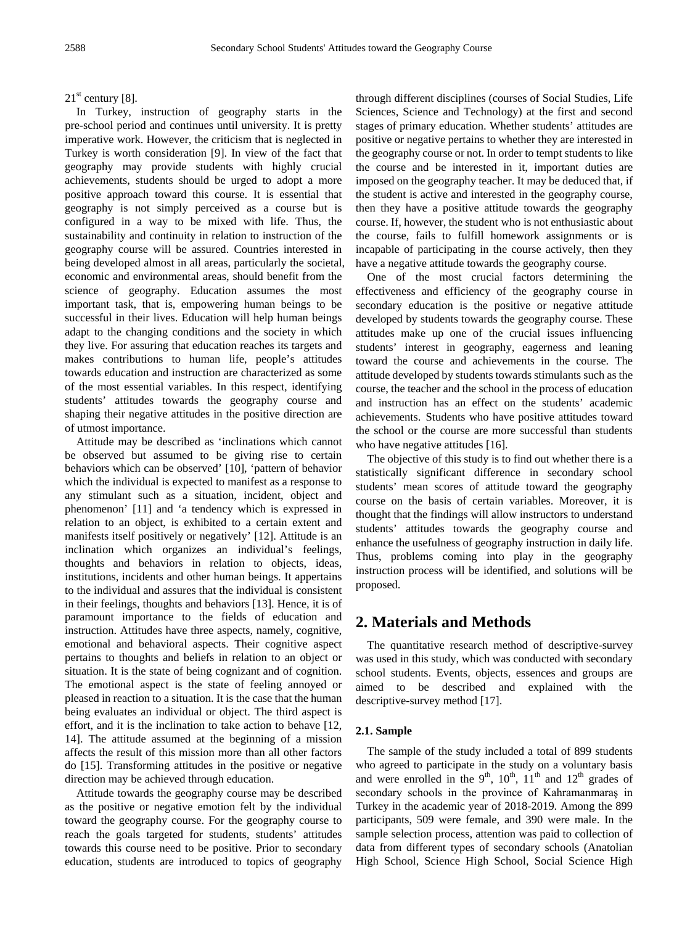## $21<sup>st</sup>$  century [8].

In Turkey, instruction of geography starts in the pre-school period and continues until university. It is pretty imperative work. However, the criticism that is neglected in Turkey is worth consideration [9]. In view of the fact that geography may provide students with highly crucial achievements, students should be urged to adopt a more positive approach toward this course. It is essential that geography is not simply perceived as a course but is configured in a way to be mixed with life. Thus, the sustainability and continuity in relation to instruction of the geography course will be assured. Countries interested in being developed almost in all areas, particularly the societal, economic and environmental areas, should benefit from the science of geography. Education assumes the most important task, that is, empowering human beings to be successful in their lives. Education will help human beings adapt to the changing conditions and the society in which they live. For assuring that education reaches its targets and makes contributions to human life, people's attitudes towards education and instruction are characterized as some of the most essential variables. In this respect, identifying students' attitudes towards the geography course and shaping their negative attitudes in the positive direction are of utmost importance.

Attitude may be described as 'inclinations which cannot be observed but assumed to be giving rise to certain behaviors which can be observed' [10], 'pattern of behavior which the individual is expected to manifest as a response to any stimulant such as a situation, incident, object and phenomenon' [11] and 'a tendency which is expressed in relation to an object, is exhibited to a certain extent and manifests itself positively or negatively' [12]. Attitude is an inclination which organizes an individual's feelings, thoughts and behaviors in relation to objects, ideas, institutions, incidents and other human beings. It appertains to the individual and assures that the individual is consistent in their feelings, thoughts and behaviors [13]. Hence, it is of paramount importance to the fields of education and instruction. Attitudes have three aspects, namely, cognitive, emotional and behavioral aspects. Their cognitive aspect pertains to thoughts and beliefs in relation to an object or situation. It is the state of being cognizant and of cognition. The emotional aspect is the state of feeling annoyed or pleased in reaction to a situation. It is the case that the human being evaluates an individual or object. The third aspect is effort, and it is the inclination to take action to behave [12, 14]. The attitude assumed at the beginning of a mission affects the result of this mission more than all other factors do [15]. Transforming attitudes in the positive or negative direction may be achieved through education.

Attitude towards the geography course may be described as the positive or negative emotion felt by the individual toward the geography course. For the geography course to reach the goals targeted for students, students' attitudes towards this course need to be positive. Prior to secondary education, students are introduced to topics of geography

through different disciplines (courses of Social Studies, Life Sciences, Science and Technology) at the first and second stages of primary education. Whether students' attitudes are positive or negative pertains to whether they are interested in the geography course or not. In order to tempt students to like the course and be interested in it, important duties are imposed on the geography teacher. It may be deduced that, if the student is active and interested in the geography course, then they have a positive attitude towards the geography course. If, however, the student who is not enthusiastic about the course, fails to fulfill homework assignments or is incapable of participating in the course actively, then they have a negative attitude towards the geography course.

One of the most crucial factors determining the effectiveness and efficiency of the geography course in secondary education is the positive or negative attitude developed by students towards the geography course. These attitudes make up one of the crucial issues influencing students' interest in geography, eagerness and leaning toward the course and achievements in the course. The attitude developed by students towards stimulants such as the course, the teacher and the school in the process of education and instruction has an effect on the students' academic achievements. Students who have positive attitudes toward the school or the course are more successful than students who have negative attitudes [16].

The objective of this study is to find out whether there is a statistically significant difference in secondary school students' mean scores of attitude toward the geography course on the basis of certain variables. Moreover, it is thought that the findings will allow instructors to understand students' attitudes towards the geography course and enhance the usefulness of geography instruction in daily life. Thus, problems coming into play in the geography instruction process will be identified, and solutions will be proposed.

# **2. Materials and Methods**

The quantitative research method of descriptive-survey was used in this study, which was conducted with secondary school students. Events, objects, essences and groups are aimed to be described and explained with the descriptive-survey method [17].

## **2.1. Sample**

The sample of the study included a total of 899 students who agreed to participate in the study on a voluntary basis and were enrolled in the 9<sup>th</sup>, 10<sup>th</sup>, 11<sup>th</sup> and 12<sup>th</sup> grades of secondary schools in the province of Kahramanmaraş in Turkey in the academic year of 2018-2019. Among the 899 participants, 509 were female, and 390 were male. In the sample selection process, attention was paid to collection of data from different types of secondary schools (Anatolian High School, Science High School, Social Science High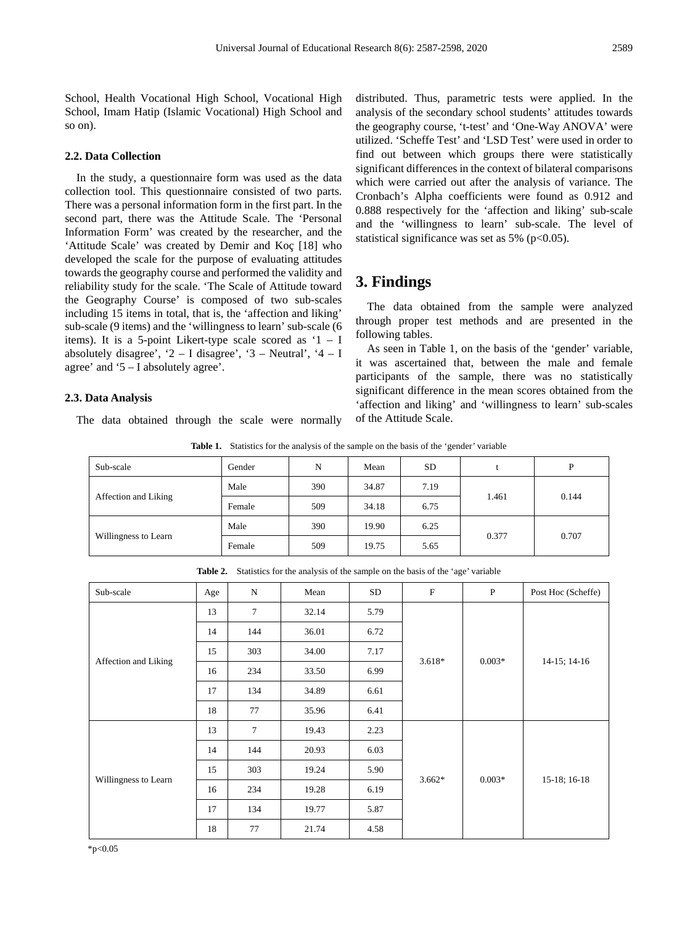School, Health Vocational High School, Vocational High School, Imam Hatip (Islamic Vocational) High School and so on).

#### **2.2. Data Collection**

In the study, a questionnaire form was used as the data collection tool. This questionnaire consisted of two parts. There was a personal information form in the first part. In the second part, there was the Attitude Scale. The 'Personal Information Form' was created by the researcher, and the 'Attitude Scale' was created by Demir and Koç [18] who developed the scale for the purpose of evaluating attitudes towards the geography course and performed the validity and reliability study for the scale. 'The Scale of Attitude toward the Geography Course' is composed of two sub-scales including 15 items in total, that is, the 'affection and liking' sub-scale (9 items) and the 'willingness to learn' sub-scale (6 items). It is a 5-point Likert-type scale scored as  $1 - I$ absolutely disagree', '2 – I disagree', '3 – Neutral', '4 – I agree' and '5 – I absolutely agree'.

#### **2.3. Data Analysis**

The data obtained through the scale were normally

distributed. Thus, parametric tests were applied. In the analysis of the secondary school students' attitudes towards the geography course, 't-test' and 'One-Way ANOVA' were utilized. 'Scheffe Test' and 'LSD Test' were used in order to find out between which groups there were statistically significant differences in the context of bilateral comparisons which were carried out after the analysis of variance. The Cronbach's Alpha coefficients were found as 0.912 and 0.888 respectively for the 'affection and liking' sub-scale and the 'willingness to learn' sub-scale. The level of statistical significance was set as  $5\%$  (p<0.05).

## **3. Findings**

The data obtained from the sample were analyzed through proper test methods and are presented in the following tables.

As seen in Table 1, on the basis of the 'gender' variable, it was ascertained that, between the male and female participants of the sample, there was no statistically significant difference in the mean scores obtained from the 'affection and liking' and 'willingness to learn' sub-scales of the Attitude Scale.

**Table 1.** Statistics for the analysis of the sample on the basis of the 'gender' variable

| Gender | N   | Mean  | <b>SD</b> | P              |  |
|--------|-----|-------|-----------|----------------|--|
| Male   | 390 | 34.87 | 7.19      |                |  |
| Female | 509 | 34.18 | 6.75      | 0.144          |  |
| Male   | 390 | 19.90 | 6.25      |                |  |
| Female | 509 | 19.75 | 5.65      | 0.707          |  |
|        |     |       |           | 1.461<br>0.377 |  |

**Table 2.** Statistics for the analysis of the sample on the basis of the 'age' variable

| Sub-scale            | Age | N   | Mean  | SD   | ${\bf F}$ | $\mathbf{P}$ | Post Hoc (Scheffe) |
|----------------------|-----|-----|-------|------|-----------|--------------|--------------------|
|                      | 13  | 7   | 32.14 | 5.79 |           |              |                    |
| Affection and Liking | 14  | 144 | 36.01 | 6.72 |           |              | $14-15$ ; $14-16$  |
|                      | 15  | 303 | 34.00 | 7.17 |           | $0.003*$     |                    |
|                      | 16  | 234 | 33.50 | 6.99 | $3.618*$  |              |                    |
|                      | 17  | 134 | 34.89 | 6.61 |           |              |                    |
|                      | 18  | 77  | 35.96 | 6.41 |           |              |                    |
|                      | 13  | 7   | 19.43 | 2.23 |           |              |                    |
|                      | 14  | 144 | 20.93 | 6.03 |           |              |                    |
|                      | 15  | 303 | 19.24 | 5.90 |           | $0.003*$     |                    |
| Willingness to Learn | 16  | 234 | 19.28 | 6.19 | $3.662*$  |              | $15-18$ ; 16-18    |
|                      | 17  | 134 | 19.77 | 5.87 |           |              |                    |
|                      | 18  | 77  | 21.74 | 4.58 |           |              |                    |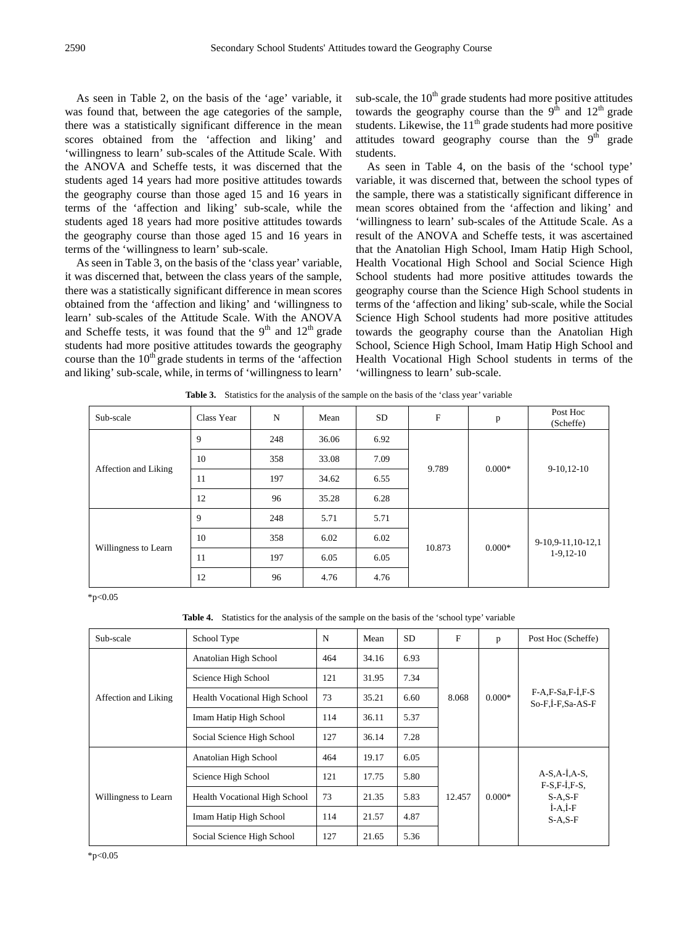As seen in Table 2, on the basis of the 'age' variable, it was found that, between the age categories of the sample, there was a statistically significant difference in the mean scores obtained from the 'affection and liking' and 'willingness to learn' sub-scales of the Attitude Scale. With the ANOVA and Scheffe tests, it was discerned that the students aged 14 years had more positive attitudes towards the geography course than those aged 15 and 16 years in terms of the 'affection and liking' sub-scale, while the students aged 18 years had more positive attitudes towards the geography course than those aged 15 and 16 years in terms of the 'willingness to learn' sub-scale.

As seen in Table 3, on the basis of the 'class year' variable, it was discerned that, between the class years of the sample, there was a statistically significant difference in mean scores obtained from the 'affection and liking' and 'willingness to learn' sub-scales of the Attitude Scale. With the ANOVA and Scheffe tests, it was found that the  $9<sup>th</sup>$  and  $12<sup>th</sup>$  grade students had more positive attitudes towards the geography course than the  $10<sup>th</sup>$  grade students in terms of the 'affection and liking' sub-scale, while, in terms of 'willingness to learn'

sub-scale, the  $10<sup>th</sup>$  grade students had more positive attitudes towards the geography course than the  $9<sup>th</sup>$  and  $12<sup>th</sup>$  grade students. Likewise, the  $11<sup>th</sup>$  grade students had more positive attitudes toward geography course than the  $9<sup>th</sup>$  grade students.

As seen in Table 4, on the basis of the 'school type' variable, it was discerned that, between the school types of the sample, there was a statistically significant difference in mean scores obtained from the 'affection and liking' and 'willingness to learn' sub-scales of the Attitude Scale. As a result of the ANOVA and Scheffe tests, it was ascertained that the Anatolian High School, Imam Hatip High School, Health Vocational High School and Social Science High School students had more positive attitudes towards the geography course than the Science High School students in terms of the 'affection and liking' sub-scale, while the Social Science High School students had more positive attitudes towards the geography course than the Anatolian High School, Science High School, Imam Hatip High School and Health Vocational High School students in terms of the 'willingness to learn' sub-scale.

| Sub-scale            | Class Year | N   | Mean  | <b>SD</b> | $\mathbf F$ | p        | Post Hoc<br>(Scheffe)            |  |
|----------------------|------------|-----|-------|-----------|-------------|----------|----------------------------------|--|
| Affection and Liking | 9          | 248 | 36.06 | 6.92      |             |          |                                  |  |
|                      | 10         | 358 | 33.08 | 7.09      |             | $0.000*$ | $9-10,12-10$                     |  |
|                      | 11         | 197 | 34.62 | 6.55      | 9.789       |          |                                  |  |
|                      | 12         | 96  | 35.28 | 6.28      |             |          |                                  |  |
| Willingness to Learn | 9          | 248 | 5.71  | 5.71      |             |          | 9-10,9-11,10-12,1<br>$1-9,12-10$ |  |
|                      | 10         | 358 | 6.02  | 6.02      |             |          |                                  |  |
|                      | 11         | 197 | 6.05  | 6.05      | 10.873      | $0.000*$ |                                  |  |
|                      | 12         | 96  | 4.76  | 4.76      |             |          |                                  |  |

**Table 3.** Statistics for the analysis of the sample on the basis of the 'class year' variable

\*p<0.05

**Table 4.** Statistics for the analysis of the sample on the basis of the 'school type' variable

| Sub-scale            | School Type                          | N   | Mean  | <b>SD</b> | $\mathbf{F}$ | p        | Post Hoc (Scheffe)                     |  |
|----------------------|--------------------------------------|-----|-------|-----------|--------------|----------|----------------------------------------|--|
| Affection and Liking | Anatolian High School                | 464 | 34.16 | 6.93      |              |          |                                        |  |
|                      | Science High School                  | 121 | 31.95 | 7.34      |              |          | $F-A.F-Sa.F-I.F-S$<br>So-F.I-F.Sa-AS-F |  |
|                      | <b>Health Vocational High School</b> | 73  | 35.21 | 6.60      | 8.068        | $0.000*$ |                                        |  |
|                      | Imam Hatip High School               | 114 | 36.11 | 5.37      |              |          |                                        |  |
|                      | Social Science High School           | 127 | 36.14 | 7.28      |              |          |                                        |  |
|                      | Anatolian High School                | 464 | 19.17 | 6.05      |              |          |                                        |  |
|                      | Science High School                  | 121 | 17.75 | 5.80      |              |          | $A-S, A-I, A-S,$<br>$F-S.F-I.F-S$      |  |
| Willingness to Learn | <b>Health Vocational High School</b> | 73  | 21.35 | 5.83      | 12.457       | $0.000*$ | $S-A.S-F$                              |  |
|                      | Imam Hatip High School               | 114 | 21.57 | 4.87      |              |          | $I-A,I-F$<br>$S-A.S-F$                 |  |
|                      | Social Science High School           | 127 | 21.65 | 5.36      |              |          |                                        |  |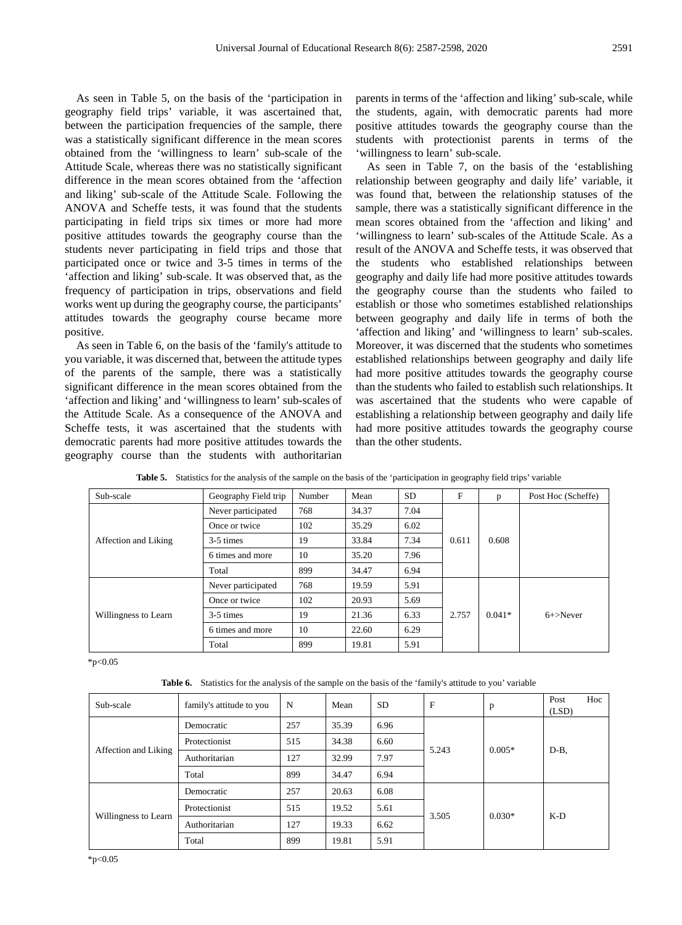As seen in Table 5, on the basis of the 'participation in geography field trips' variable, it was ascertained that, between the participation frequencies of the sample, there was a statistically significant difference in the mean scores obtained from the 'willingness to learn' sub-scale of the Attitude Scale, whereas there was no statistically significant difference in the mean scores obtained from the 'affection and liking' sub-scale of the Attitude Scale. Following the ANOVA and Scheffe tests, it was found that the students participating in field trips six times or more had more positive attitudes towards the geography course than the students never participating in field trips and those that participated once or twice and 3-5 times in terms of the 'affection and liking' sub-scale. It was observed that, as the frequency of participation in trips, observations and field works went up during the geography course, the participants' attitudes towards the geography course became more positive.

As seen in Table 6, on the basis of the 'family's attitude to you variable, it was discerned that, between the attitude types of the parents of the sample, there was a statistically significant difference in the mean scores obtained from the 'affection and liking' and 'willingness to learn' sub-scales of the Attitude Scale. As a consequence of the ANOVA and Scheffe tests, it was ascertained that the students with democratic parents had more positive attitudes towards the geography course than the students with authoritarian

parents in terms of the 'affection and liking' sub-scale, while the students, again, with democratic parents had more positive attitudes towards the geography course than the students with protectionist parents in terms of the 'willingness to learn' sub-scale.

As seen in Table 7, on the basis of the 'establishing relationship between geography and daily life' variable, it was found that, between the relationship statuses of the sample, there was a statistically significant difference in the mean scores obtained from the 'affection and liking' and 'willingness to learn' sub-scales of the Attitude Scale. As a result of the ANOVA and Scheffe tests, it was observed that the students who established relationships between geography and daily life had more positive attitudes towards the geography course than the students who failed to establish or those who sometimes established relationships between geography and daily life in terms of both the 'affection and liking' and 'willingness to learn' sub-scales. Moreover, it was discerned that the students who sometimes established relationships between geography and daily life had more positive attitudes towards the geography course than the students who failed to establish such relationships. It was ascertained that the students who were capable of establishing a relationship between geography and daily life had more positive attitudes towards the geography course than the other students.

| Sub-scale            | Geography Field trip | Number | Mean  | <b>SD</b> | F     | p        | Post Hoc (Scheffe) |  |
|----------------------|----------------------|--------|-------|-----------|-------|----------|--------------------|--|
|                      | Never participated   | 768    | 34.37 | 7.04      |       |          |                    |  |
| Affection and Liking | Once or twice        | 102    | 35.29 | 6.02      |       |          |                    |  |
|                      | 3-5 times            | 19     | 33.84 | 7.34      | 0.611 | 0.608    |                    |  |
|                      | 6 times and more     | 10     | 35.20 | 7.96      |       |          |                    |  |
|                      | Total                | 899    | 34.47 | 6.94      |       |          |                    |  |
|                      | Never participated   | 768    | 19.59 | 5.91      |       |          |                    |  |
|                      | Once or twice        | 102    | 20.93 | 5.69      |       |          |                    |  |
| Willingness to Learn | 3-5 times            | 19     | 21.36 | 6.33      | 2.757 | $0.041*$ | $6 +$ >Never       |  |
|                      | 6 times and more     | 10     | 22.60 | 6.29      |       |          |                    |  |
|                      | Total                | 899    | 19.81 | 5.91      |       |          |                    |  |

**Table 5.** Statistics for the analysis of the sample on the basis of the 'participation in geography field trips' variable

 $*p<0.05$ 

| <b>Table 6.</b> Statistics for the analysis of the sample on the basis of the 'family's attitude to you' variable |  |
|-------------------------------------------------------------------------------------------------------------------|--|
|-------------------------------------------------------------------------------------------------------------------|--|

| Sub-scale            | family's attitude to you | N   | Mean  | <b>SD</b> | F     | p        | Post<br>(LSD) | Hoc |
|----------------------|--------------------------|-----|-------|-----------|-------|----------|---------------|-----|
| Affection and Liking | Democratic               | 257 | 35.39 | 6.96      |       |          |               |     |
|                      | Protectionist            | 515 | 34.38 | 6.60      |       | $0.005*$ |               |     |
|                      | Authoritarian            | 127 | 32.99 | 7.97      | 5.243 |          | $D-B$ ,       |     |
|                      | Total                    | 899 | 34.47 | 6.94      |       |          |               |     |
|                      | Democratic               | 257 | 20.63 | 6.08      |       |          |               |     |
| Willingness to Learn | Protectionist            | 515 | 19.52 | 5.61      |       | $0.030*$ |               |     |
|                      | Authoritarian            | 127 | 19.33 | 6.62      | 3.505 |          | $K-D$         |     |
|                      | Total                    | 899 | 19.81 | 5.91      |       |          |               |     |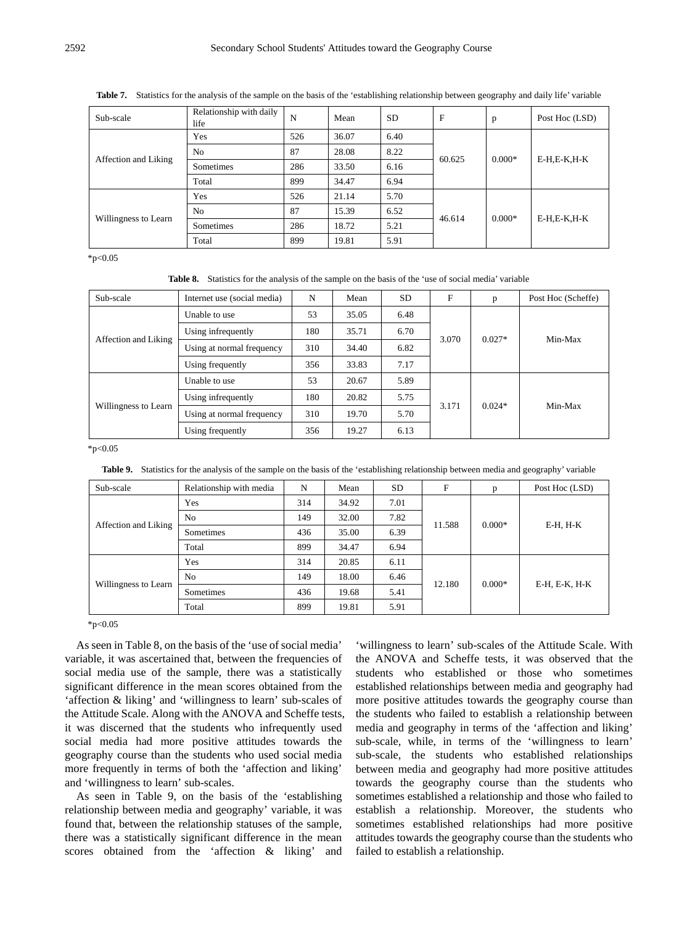Table 7. Statistics for the analysis of the sample on the basis of the 'establishing relationship between geography and daily life' variable

| Sub-scale            | Relationship with daily<br>life | N   | Mean  | <b>SD</b> | $\mathbf{F}$ | p        | Post Hoc (LSD) |
|----------------------|---------------------------------|-----|-------|-----------|--------------|----------|----------------|
| Affection and Liking | Yes                             | 526 | 36.07 | 6.40      |              |          | E-H,E-K,H-K    |
|                      | N <sub>0</sub>                  | 87  | 28.08 | 8.22      | 60.625       | $0.000*$ |                |
|                      | Sometimes                       | 286 | 33.50 | 6.16      |              |          |                |
|                      | Total                           | 899 | 34.47 | 6.94      |              |          |                |
|                      | Yes                             | 526 | 21.14 | 5.70      |              | $0.000*$ | E-H,E-K,H-K    |
| Willingness to Learn | N <sub>0</sub>                  | 87  | 15.39 | 6.52      |              |          |                |
|                      | Sometimes                       | 286 | 18.72 | 5.21      | 46.614       |          |                |
|                      | Total                           | 899 | 19.81 | 5.91      |              |          |                |

 $*p<0.05$ 

**Table 8.** Statistics for the analysis of the sample on the basis of the 'use of social media' variable

| Sub-scale            | Internet use (social media) | N   | Mean  | <b>SD</b> | F     | p        | Post Hoc (Scheffe) |
|----------------------|-----------------------------|-----|-------|-----------|-------|----------|--------------------|
|                      | Unable to use               | 53  | 35.05 | 6.48      |       |          | Min-Max            |
|                      | Using infrequently          | 180 | 35.71 | 6.70      | 3.070 | $0.027*$ |                    |
| Affection and Liking | Using at normal frequency   | 310 | 34.40 | 6.82      |       |          |                    |
|                      | Using frequently            | 356 | 33.83 | 7.17      |       |          |                    |
|                      | Unable to use               | 53  | 20.67 | 5.89      |       |          | Min-Max            |
|                      | Using infrequently          | 180 | 20.82 | 5.75      |       |          |                    |
| Willingness to Learn | Using at normal frequency   | 310 | 19.70 | 5.70      | 3.171 | $0.024*$ |                    |
|                      | Using frequently            | 356 | 19.27 | 6.13      |       |          |                    |

 $*p<0.05$ 

Table 9. Statistics for the analysis of the sample on the basis of the 'establishing relationship between media and geography' variable

| Sub-scale            | Relationship with media | N   | Mean  | <b>SD</b> | F      | p        | Post Hoc (LSD) |  |
|----------------------|-------------------------|-----|-------|-----------|--------|----------|----------------|--|
| Affection and Liking | Yes                     | 314 | 34.92 | 7.01      |        |          |                |  |
|                      | N <sub>0</sub>          | 149 | 32.00 | 7.82      |        | $0.000*$ | E-H, H-K       |  |
|                      | Sometimes               | 436 | 35.00 | 6.39      | 11.588 |          |                |  |
|                      | Total                   | 899 | 34.47 | 6.94      |        |          |                |  |
|                      | Yes                     | 314 | 20.85 | 6.11      |        |          | E-H, E-K, H-K  |  |
|                      | N <sub>0</sub>          | 149 | 18.00 | 6.46      |        |          |                |  |
| Willingness to Learn | Sometimes               | 436 | 19.68 | 5.41      | 12.180 | $0.000*$ |                |  |
|                      | Total                   | 899 | 19.81 | 5.91      |        |          |                |  |

 $*p<0.05$ 

As seen in Table 8, on the basis of the 'use of social media' variable, it was ascertained that, between the frequencies of social media use of the sample, there was a statistically significant difference in the mean scores obtained from the 'affection & liking' and 'willingness to learn' sub-scales of the Attitude Scale. Along with the ANOVA and Scheffe tests, it was discerned that the students who infrequently used social media had more positive attitudes towards the geography course than the students who used social media more frequently in terms of both the 'affection and liking' and 'willingness to learn' sub-scales.

As seen in Table 9, on the basis of the 'establishing relationship between media and geography' variable, it was found that, between the relationship statuses of the sample, there was a statistically significant difference in the mean scores obtained from the 'affection & liking' and

'willingness to learn' sub-scales of the Attitude Scale. With the ANOVA and Scheffe tests, it was observed that the students who established or those who sometimes established relationships between media and geography had more positive attitudes towards the geography course than the students who failed to establish a relationship between media and geography in terms of the 'affection and liking' sub-scale, while, in terms of the 'willingness to learn' sub-scale, the students who established relationships between media and geography had more positive attitudes towards the geography course than the students who sometimes established a relationship and those who failed to establish a relationship. Moreover, the students who sometimes established relationships had more positive attitudes towards the geography course than the students who failed to establish a relationship.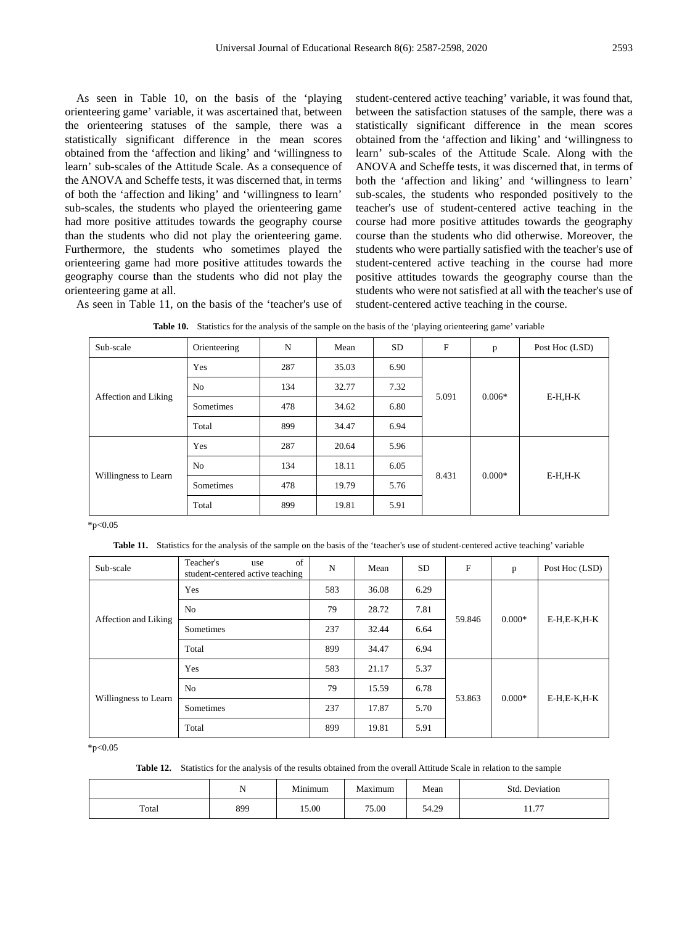As seen in Table 10, on the basis of the 'playing orienteering game' variable, it was ascertained that, between the orienteering statuses of the sample, there was a statistically significant difference in the mean scores obtained from the 'affection and liking' and 'willingness to learn' sub-scales of the Attitude Scale. As a consequence of the ANOVA and Scheffe tests, it was discerned that, in terms of both the 'affection and liking' and 'willingness to learn' sub-scales, the students who played the orienteering game had more positive attitudes towards the geography course than the students who did not play the orienteering game. Furthermore, the students who sometimes played the orienteering game had more positive attitudes towards the geography course than the students who did not play the orienteering game at all. As seen in Table 11, on the basis of the 'teacher's use of student-centered active teaching' variable, it was found that, between the satisfaction statuses of the sample, there was a statistically significant difference in the mean scores obtained from the 'affection and liking' and 'willingness to learn' sub-scales of the Attitude Scale. Along with the ANOVA and Scheffe tests, it was discerned that, in terms of both the 'affection and liking' and 'willingness to learn' sub-scales, the students who responded positively to the teacher's use of student-centered active teaching in the course had more positive attitudes towards the geography course than the students who did otherwise. Moreover, the students who were partially satisfied with the teacher's use of student-centered active teaching in the course had more positive attitudes towards the geography course than the students who were not satisfied at all with the teacher's use of student-centered active teaching in the course.

| Sub-scale            | Orienteering   | N   | Mean  | SD.  | F     | p        | Post Hoc (LSD) |
|----------------------|----------------|-----|-------|------|-------|----------|----------------|
| Affection and Liking | Yes            | 287 | 35.03 | 6.90 |       |          | $E-H,H-K$      |
|                      | N <sub>0</sub> | 134 | 32.77 | 7.32 |       |          |                |
|                      | Sometimes      | 478 | 34.62 | 6.80 | 5.091 | $0.006*$ |                |
|                      | Total          | 899 | 34.47 | 6.94 |       |          |                |
|                      | Yes            | 287 | 20.64 | 5.96 |       |          | $E-H,H-K$      |
|                      | No             | 134 | 18.11 | 6.05 |       |          |                |
| Willingness to Learn | Sometimes      | 478 | 19.79 | 5.76 | 8.431 | $0.000*$ |                |
|                      | Total          | 899 | 19.81 | 5.91 |       |          |                |

|  | <b>Table 10.</b> Statistics for the analysis of the sample on the basis of the 'playing orienteering game' variable |  |  |  |
|--|---------------------------------------------------------------------------------------------------------------------|--|--|--|
|--|---------------------------------------------------------------------------------------------------------------------|--|--|--|

 $*p<0.05$ 

**Table 11.** Statistics for the analysis of the sample on the basis of the 'teacher's use of student-centered active teaching' variable

| Sub-scale            | of<br>Teacher's<br>use<br>student-centered active teaching | N   | Mean  | <b>SD</b> | F      | $\mathbf{p}$ | Post Hoc (LSD) |
|----------------------|------------------------------------------------------------|-----|-------|-----------|--------|--------------|----------------|
| Affection and Liking | Yes                                                        | 583 | 36.08 | 6.29      | 59.846 | $0.000*$     | $E-H,E-K,H-K$  |
|                      | N <sub>0</sub>                                             | 79  | 28.72 | 7.81      |        |              |                |
|                      | Sometimes                                                  | 237 | 32.44 | 6.64      |        |              |                |
|                      | Total                                                      | 899 | 34.47 | 6.94      |        |              |                |
| Willingness to Learn | Yes                                                        | 583 | 21.17 | 5.37      | 53.863 | $0.000*$     | $E-H,E-K,H-K$  |
|                      | N <sub>0</sub>                                             | 79  | 15.59 | 6.78      |        |              |                |
|                      | Sometimes                                                  | 237 | 17.87 | 5.70      |        |              |                |
|                      | Total                                                      | 899 | 19.81 | 5.91      |        |              |                |

 $*p<0.05$ 

**Table 12.** Statistics for the analysis of the results obtained from the overall Attitude Scale in relation to the sample

|       | N   | $\cdots$<br>Minimum | Maximum | Mean              | Deviation<br>Std                 |
|-------|-----|---------------------|---------|-------------------|----------------------------------|
| Total | 899 | 15.00               | 75.00   | $\sigma$<br>J4.49 | $\overline{\phantom{a}}$<br>11.7 |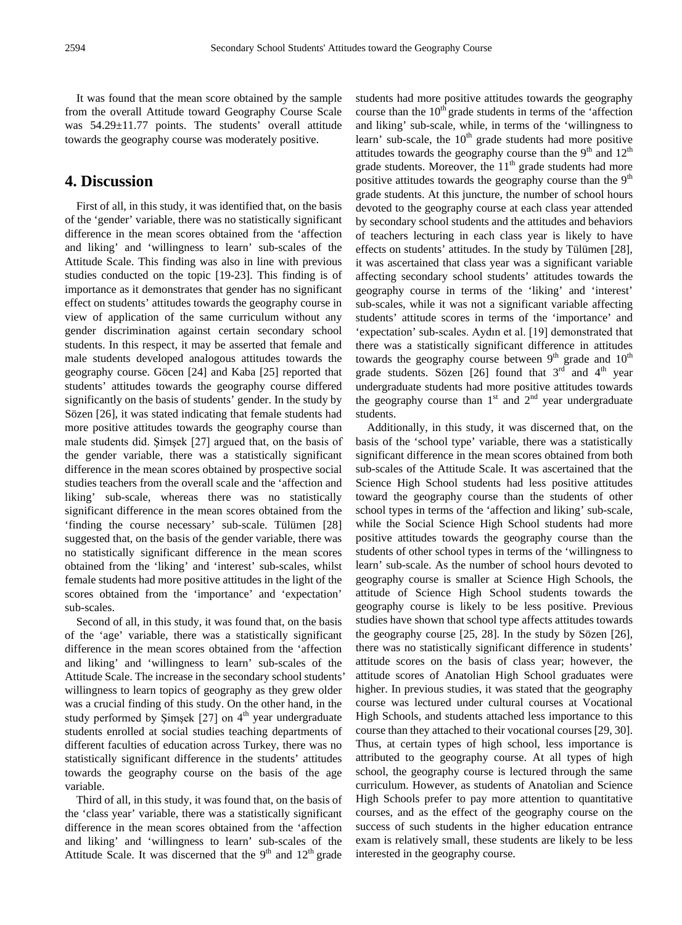It was found that the mean score obtained by the sample from the overall Attitude toward Geography Course Scale was 54.29±11.77 points. The students' overall attitude towards the geography course was moderately positive.

## **4. Discussion**

First of all, in this study, it was identified that, on the basis of the 'gender' variable, there was no statistically significant difference in the mean scores obtained from the 'affection and liking' and 'willingness to learn' sub-scales of the Attitude Scale. This finding was also in line with previous studies conducted on the topic [19-23]. This finding is of importance as it demonstrates that gender has no significant effect on students' attitudes towards the geography course in view of application of the same curriculum without any gender discrimination against certain secondary school students. In this respect, it may be asserted that female and male students developed analogous attitudes towards the geography course. Göcen [24] and Kaba [25] reported that students' attitudes towards the geography course differed significantly on the basis of students' gender. In the study by Sözen [26], it was stated indicating that female students had more positive attitudes towards the geography course than male students did. Şimşek [27] argued that, on the basis of the gender variable, there was a statistically significant difference in the mean scores obtained by prospective social studies teachers from the overall scale and the 'affection and liking' sub-scale, whereas there was no statistically significant difference in the mean scores obtained from the 'finding the course necessary' sub-scale. Tülümen [28] suggested that, on the basis of the gender variable, there was no statistically significant difference in the mean scores obtained from the 'liking' and 'interest' sub-scales, whilst female students had more positive attitudes in the light of the scores obtained from the 'importance' and 'expectation' sub-scales.

Second of all, in this study, it was found that, on the basis of the 'age' variable, there was a statistically significant difference in the mean scores obtained from the 'affection and liking' and 'willingness to learn' sub-scales of the Attitude Scale. The increase in the secondary school students' willingness to learn topics of geography as they grew older was a crucial finding of this study. On the other hand, in the study performed by Simsek  $[27]$  on  $4<sup>th</sup>$  year undergraduate students enrolled at social studies teaching departments of different faculties of education across Turkey, there was no statistically significant difference in the students' attitudes towards the geography course on the basis of the age variable.

Third of all, in this study, it was found that, on the basis of the 'class year' variable, there was a statistically significant difference in the mean scores obtained from the 'affection and liking' and 'willingness to learn' sub-scales of the Attitude Scale. It was discerned that the  $9<sup>th</sup>$  and  $12<sup>th</sup>$  grade

students had more positive attitudes towards the geography course than the  $10<sup>th</sup>$  grade students in terms of the 'affection and liking' sub-scale, while, in terms of the 'willingness to learn' sub-scale, the  $10<sup>th</sup>$  grade students had more positive attitudes towards the geography course than the  $9<sup>th</sup>$  and  $12<sup>th</sup>$ grade students. Moreover, the 11<sup>th</sup> grade students had more positive attitudes towards the geography course than the  $9<sup>th</sup>$ grade students. At this juncture, the number of school hours devoted to the geography course at each class year attended by secondary school students and the attitudes and behaviors of teachers lecturing in each class year is likely to have effects on students' attitudes. In the study by Tülümen [28], it was ascertained that class year was a significant variable affecting secondary school students' attitudes towards the geography course in terms of the 'liking' and 'interest' sub-scales, while it was not a significant variable affecting students' attitude scores in terms of the 'importance' and 'expectation' sub-scales. Aydın et al. [19] demonstrated that there was a statistically significant difference in attitudes towards the geography course between  $9<sup>th</sup>$  grade and  $10<sup>th</sup>$ grade students. Sözen [26] found that  $3<sup>rd</sup>$  and  $4<sup>th</sup>$  year undergraduate students had more positive attitudes towards the geography course than  $1<sup>st</sup>$  and  $2<sup>nd</sup>$  year undergraduate students.

Additionally, in this study, it was discerned that, on the basis of the 'school type' variable, there was a statistically significant difference in the mean scores obtained from both sub-scales of the Attitude Scale. It was ascertained that the Science High School students had less positive attitudes toward the geography course than the students of other school types in terms of the 'affection and liking' sub-scale, while the Social Science High School students had more positive attitudes towards the geography course than the students of other school types in terms of the 'willingness to learn' sub-scale. As the number of school hours devoted to geography course is smaller at Science High Schools, the attitude of Science High School students towards the geography course is likely to be less positive. Previous studies have shown that school type affects attitudes towards the geography course [25, 28]. In the study by Sözen [26], there was no statistically significant difference in students' attitude scores on the basis of class year; however, the attitude scores of Anatolian High School graduates were higher. In previous studies, it was stated that the geography course was lectured under cultural courses at Vocational High Schools, and students attached less importance to this course than they attached to their vocational courses [29, 30]. Thus, at certain types of high school, less importance is attributed to the geography course. At all types of high school, the geography course is lectured through the same curriculum. However, as students of Anatolian and Science High Schools prefer to pay more attention to quantitative courses, and as the effect of the geography course on the success of such students in the higher education entrance exam is relatively small, these students are likely to be less interested in the geography course.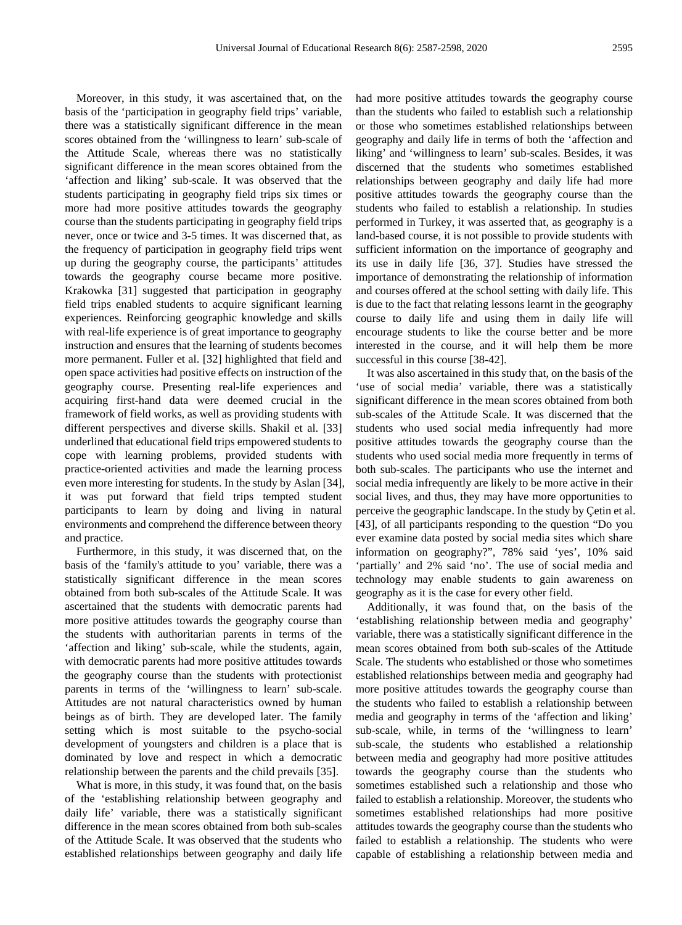Moreover, in this study, it was ascertained that, on the basis of the 'participation in geography field trips' variable, there was a statistically significant difference in the mean scores obtained from the 'willingness to learn' sub-scale of the Attitude Scale, whereas there was no statistically significant difference in the mean scores obtained from the 'affection and liking' sub-scale. It was observed that the students participating in geography field trips six times or more had more positive attitudes towards the geography course than the students participating in geography field trips never, once or twice and 3-5 times. It was discerned that, as the frequency of participation in geography field trips went up during the geography course, the participants' attitudes towards the geography course became more positive. Krakowka [31] suggested that participation in geography field trips enabled students to acquire significant learning experiences. Reinforcing geographic knowledge and skills with real-life experience is of great importance to geography instruction and ensures that the learning of students becomes more permanent. Fuller et al. [32] highlighted that field and open space activities had positive effects on instruction of the geography course. Presenting real-life experiences and acquiring first-hand data were deemed crucial in the framework of field works, as well as providing students with different perspectives and diverse skills. Shakil et al. [33] underlined that educational field trips empowered students to cope with learning problems, provided students with practice-oriented activities and made the learning process even more interesting for students. In the study by Aslan [34], it was put forward that field trips tempted student participants to learn by doing and living in natural environments and comprehend the difference between theory and practice.

Furthermore, in this study, it was discerned that, on the basis of the 'family's attitude to you' variable, there was a statistically significant difference in the mean scores obtained from both sub-scales of the Attitude Scale. It was ascertained that the students with democratic parents had more positive attitudes towards the geography course than the students with authoritarian parents in terms of the 'affection and liking' sub-scale, while the students, again, with democratic parents had more positive attitudes towards the geography course than the students with protectionist parents in terms of the 'willingness to learn' sub-scale. Attitudes are not natural characteristics owned by human beings as of birth. They are developed later. The family setting which is most suitable to the psycho-social development of youngsters and children is a place that is dominated by love and respect in which a democratic relationship between the parents and the child prevails [35].

What is more, in this study, it was found that, on the basis of the 'establishing relationship between geography and daily life' variable, there was a statistically significant difference in the mean scores obtained from both sub-scales of the Attitude Scale. It was observed that the students who established relationships between geography and daily life had more positive attitudes towards the geography course than the students who failed to establish such a relationship or those who sometimes established relationships between geography and daily life in terms of both the 'affection and liking' and 'willingness to learn' sub-scales. Besides, it was discerned that the students who sometimes established relationships between geography and daily life had more positive attitudes towards the geography course than the students who failed to establish a relationship. In studies performed in Turkey, it was asserted that, as geography is a land-based course, it is not possible to provide students with sufficient information on the importance of geography and its use in daily life [36, 37]. Studies have stressed the importance of demonstrating the relationship of information and courses offered at the school setting with daily life. This is due to the fact that relating lessons learnt in the geography course to daily life and using them in daily life will encourage students to like the course better and be more interested in the course, and it will help them be more successful in this course [38-42].

It was also ascertained in this study that, on the basis of the 'use of social media' variable, there was a statistically significant difference in the mean scores obtained from both sub-scales of the Attitude Scale. It was discerned that the students who used social media infrequently had more positive attitudes towards the geography course than the students who used social media more frequently in terms of both sub-scales. The participants who use the internet and social media infrequently are likely to be more active in their social lives, and thus, they may have more opportunities to perceive the geographic landscape. In the study by Çetin et al. [43], of all participants responding to the question "Do you ever examine data posted by social media sites which share information on geography?", 78% said 'yes', 10% said 'partially' and 2% said 'no'. The use of social media and technology may enable students to gain awareness on geography as it is the case for every other field.

Additionally, it was found that, on the basis of the 'establishing relationship between media and geography' variable, there was a statistically significant difference in the mean scores obtained from both sub-scales of the Attitude Scale. The students who established or those who sometimes established relationships between media and geography had more positive attitudes towards the geography course than the students who failed to establish a relationship between media and geography in terms of the 'affection and liking' sub-scale, while, in terms of the 'willingness to learn' sub-scale, the students who established a relationship between media and geography had more positive attitudes towards the geography course than the students who sometimes established such a relationship and those who failed to establish a relationship. Moreover, the students who sometimes established relationships had more positive attitudes towards the geography course than the students who failed to establish a relationship. The students who were capable of establishing a relationship between media and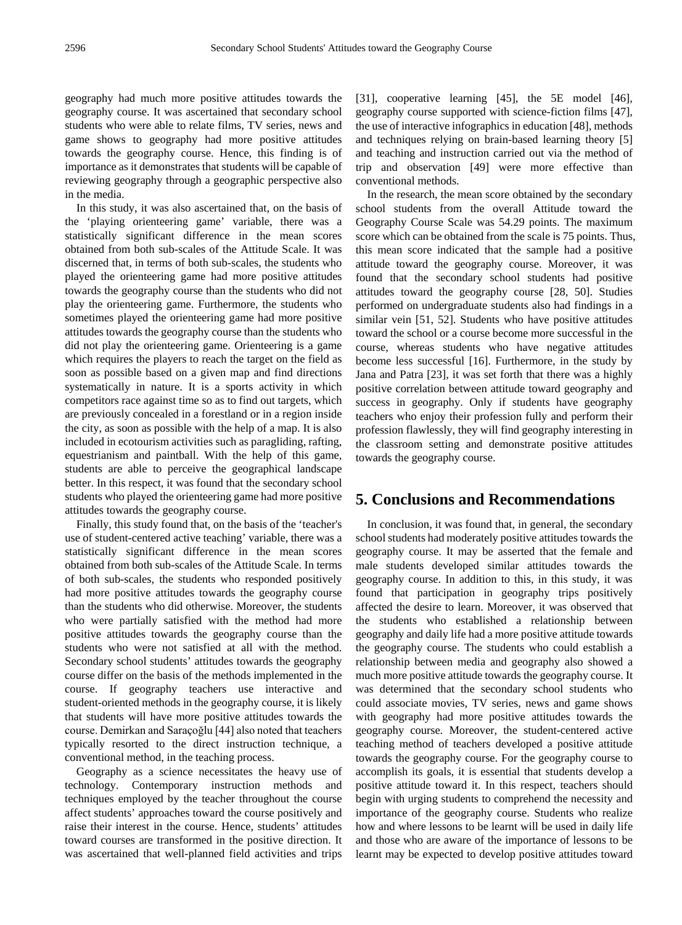geography had much more positive attitudes towards the geography course. It was ascertained that secondary school students who were able to relate films, TV series, news and game shows to geography had more positive attitudes towards the geography course. Hence, this finding is of importance as it demonstrates that students will be capable of reviewing geography through a geographic perspective also in the media.

In this study, it was also ascertained that, on the basis of the 'playing orienteering game' variable, there was a statistically significant difference in the mean scores obtained from both sub-scales of the Attitude Scale. It was discerned that, in terms of both sub-scales, the students who played the orienteering game had more positive attitudes towards the geography course than the students who did not play the orienteering game. Furthermore, the students who sometimes played the orienteering game had more positive attitudes towards the geography course than the students who did not play the orienteering game. Orienteering is a game which requires the players to reach the target on the field as soon as possible based on a given map and find directions systematically in nature. It is a sports activity in which competitors race against time so as to find out targets, which are previously concealed in a forestland or in a region inside the city, as soon as possible with the help of a map. It is also included in ecotourism activities such as paragliding, rafting, equestrianism and paintball. With the help of this game, students are able to perceive the geographical landscape better. In this respect, it was found that the secondary school students who played the orienteering game had more positive attitudes towards the geography course.

Finally, this study found that, on the basis of the 'teacher's use of student-centered active teaching' variable, there was a statistically significant difference in the mean scores obtained from both sub-scales of the Attitude Scale. In terms of both sub-scales, the students who responded positively had more positive attitudes towards the geography course than the students who did otherwise. Moreover, the students who were partially satisfied with the method had more positive attitudes towards the geography course than the students who were not satisfied at all with the method. Secondary school students' attitudes towards the geography course differ on the basis of the methods implemented in the course. If geography teachers use interactive and student-oriented methods in the geography course, it is likely that students will have more positive attitudes towards the course. Demirkan and Saraçoğlu [44] also noted that teachers typically resorted to the direct instruction technique, a conventional method, in the teaching process.

Geography as a science necessitates the heavy use of technology. Contemporary instruction methods and techniques employed by the teacher throughout the course affect students' approaches toward the course positively and raise their interest in the course. Hence, students' attitudes toward courses are transformed in the positive direction. It was ascertained that well-planned field activities and trips

[31], cooperative learning [45], the 5E model [46], geography course supported with science-fiction films [47], the use of interactive infographics in education [48], methods and techniques relying on brain-based learning theory [5] and teaching and instruction carried out via the method of trip and observation [49] were more effective than conventional methods.

In the research, the mean score obtained by the secondary school students from the overall Attitude toward the Geography Course Scale was 54.29 points. The maximum score which can be obtained from the scale is 75 points. Thus, this mean score indicated that the sample had a positive attitude toward the geography course. Moreover, it was found that the secondary school students had positive attitudes toward the geography course [28, 50]. Studies performed on undergraduate students also had findings in a similar vein [51, 52]. Students who have positive attitudes toward the school or a course become more successful in the course, whereas students who have negative attitudes become less successful [16]. Furthermore, in the study by Jana and Patra [23], it was set forth that there was a highly positive correlation between attitude toward geography and success in geography. Only if students have geography teachers who enjoy their profession fully and perform their profession flawlessly, they will find geography interesting in the classroom setting and demonstrate positive attitudes towards the geography course.

## **5. Conclusions and Recommendations**

In conclusion, it was found that, in general, the secondary school students had moderately positive attitudes towards the geography course. It may be asserted that the female and male students developed similar attitudes towards the geography course. In addition to this, in this study, it was found that participation in geography trips positively affected the desire to learn. Moreover, it was observed that the students who established a relationship between geography and daily life had a more positive attitude towards the geography course. The students who could establish a relationship between media and geography also showed a much more positive attitude towards the geography course. It was determined that the secondary school students who could associate movies, TV series, news and game shows with geography had more positive attitudes towards the geography course. Moreover, the student-centered active teaching method of teachers developed a positive attitude towards the geography course. For the geography course to accomplish its goals, it is essential that students develop a positive attitude toward it. In this respect, teachers should begin with urging students to comprehend the necessity and importance of the geography course. Students who realize how and where lessons to be learnt will be used in daily life and those who are aware of the importance of lessons to be learnt may be expected to develop positive attitudes toward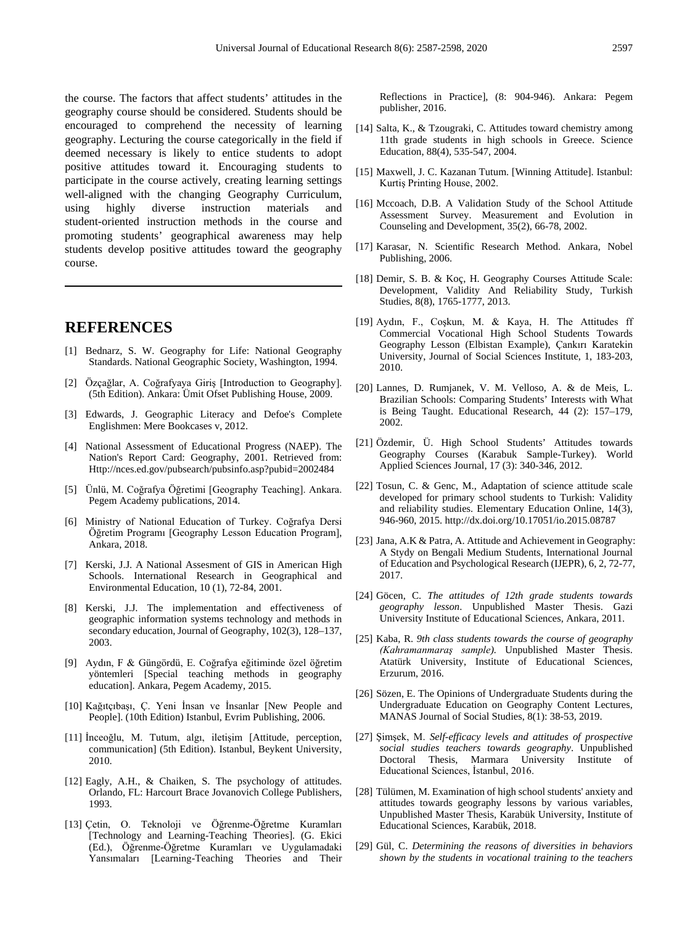the course. The factors that affect students' attitudes in the geography course should be considered. Students should be encouraged to comprehend the necessity of learning geography. Lecturing the course categorically in the field if deemed necessary is likely to entice students to adopt positive attitudes toward it. Encouraging students to participate in the course actively, creating learning settings well-aligned with the changing Geography Curriculum, using highly diverse instruction materials and student-oriented instruction methods in the course and promoting students' geographical awareness may help students develop positive attitudes toward the geography course.

# **REFERENCES**

- [1] Bednarz, S. W. Geography for Life: National Geography Standards. National Geographic Society, Washington, 1994.
- [2] Özçağlar, A. Coğrafyaya Giriş [Introduction to Geography]. (5th Edition). Ankara: Ümit Ofset Publishing House, 2009.
- [3] Edwards, J. Geographic Literacy and Defoe's Complete Englishmen: Mere Bookcases v, 2012.
- [4] National Assessment of Educational Progress (NAEP). The Nation's Report Card: Geography, 2001. Retrieved from: Http://nces.ed.gov/pubsearch/pubsinfo.asp?pubid=2002484
- [5] Ünlü, M. Coğrafya Öğretimi [Geography Teaching]. Ankara. Pegem Academy publications, 2014.
- [6] Ministry of National Education of Turkey. Coğrafya Dersi Öğretim Programı [Geography Lesson Education Program], Ankara, 2018.
- [7] Kerski, J.J. A National Assesment of GIS in American High Schools. International Research in Geographical and Environmental Education, 10 (1), 72-84, 2001.
- [8] Kerski, J.J. The implementation and effectiveness of geographic information systems technology and methods in secondary education, Journal of Geography, 102(3), 128–137, 2003.
- [9] Aydın, F & Güngördü, E. Coğrafya eğitiminde özel öğretim yöntemleri [Special teaching methods in geography education]. Ankara, Pegem Academy, 2015.
- [10] Kağıtçıbaşı, Ç. Yeni İnsan ve İnsanlar [New People and People]. (10th Edition) Istanbul, Evrim Publishing, 2006.
- [11] İnceoğlu, M. Tutum, algı, iletişim [Attitude, perception, communication] (5th Edition). Istanbul, Beykent University, 2010.
- [12] Eagly, A.H., & Chaiken, S. The psychology of attitudes. Orlando, FL: Harcourt Brace Jovanovich College Publishers, 1993.
- [13] Çetin, O. Teknoloji ve Öğrenme-Öğretme Kuramları [Technology and Learning-Teaching Theories]. (G. Ekici (Ed.), Öğrenme-Öğretme Kuramları ve Uygulamadaki Yansımaları [Learning-Teaching Theories and Their

Reflections in Practice], (8: 904-946). Ankara: Pegem publisher, 2016.

- [14] Salta, K., & Tzougraki, C. Attitudes toward chemistry among 11th grade students in high schools in Greece. Science Education, 88(4), 535-547, 2004.
- [15] Maxwell, J. C. Kazanan Tutum. [Winning Attitude]. Istanbul: Kurtiş Printing House, 2002.
- [16] Mccoach, D.B. A Validation Study of the School Attitude Assessment Survey. Measurement and Evolution in Counseling and Development, 35(2), 66-78, 2002.
- [17] Karasar, N. Scientific Research Method. Ankara, Nobel Publishing, 2006.
- [18] Demir, S. B. & Koç, H. Geography Courses Attitude Scale: Development, Validity And Reliability Study, Turkish Studies, 8(8), 1765-1777, 2013.
- [19] Aydın, F., Coşkun, M. & Kaya, H. The Attitudes ff Commercial Vocational High School Students Towards Geography Lesson (Elbistan Example), Çankırı Karatekin University, Journal of Social Sciences Institute, 1, 183-203, 2010.
- [20] Lannes, D. Rumjanek, V. M. Velloso, A. & de Meis, L. Brazilian Schools: Comparing Students' Interests with What is Being Taught. Educational Research, 44 (2): 157–179, 2002.
- [21] Özdemir, Ü. High School Students' Attitudes towards Geography Courses (Karabuk Sample-Turkey). World Applied Sciences Journal, 17 (3): 340-346, 2012.
- [22] Tosun, C. & Genc, M., Adaptation of science attitude scale developed for primary school students to Turkish: Validity and reliability studies. Elementary Education Online, 14(3), 946-960, 2015. http://dx.doi.org/10.17051/io.2015.08787
- [23] Jana, A.K & Patra, A. Attitude and Achievement in Geography: A Stydy on Bengali Medium Students, International Journal of Education and Psychological Research (IJEPR), 6, 2, 72-77, 2017.
- [24] Göcen, C. *The attitudes of 12th grade students towards geography lesson*. Unpublished Master Thesis. Gazi University Institute of Educational Sciences, Ankara, 2011.
- [25] Kaba, R. *9th class students towards the course of geography (Kahramanmaraş sample).* Unpublished Master Thesis. Atatürk University, Institute of Educational Sciences, Erzurum, 2016.
- [26] Sözen, E. The Opinions of Undergraduate Students during the Undergraduate Education on Geography Content Lectures, MANAS Journal of Social Studies, 8(1): 38-53, 2019.
- [27] Şimşek, M. *Self-efficacy levels and attitudes of prospective social studies teachers towards geography*. Unpublished Doctoral Thesis, Marmara University Institute of Educational Sciences, İstanbul, 2016.
- [28] Tülümen, M. Examination of high school students' anxiety and attitudes towards geography lessons by various variables, Unpublished Master Thesis, Karabük University, Institute of Educational Sciences, Karabük, 2018.
- [29] Gül, C. *Determining the reasons of diversities in behaviors shown by the students in vocational training to the teachers*